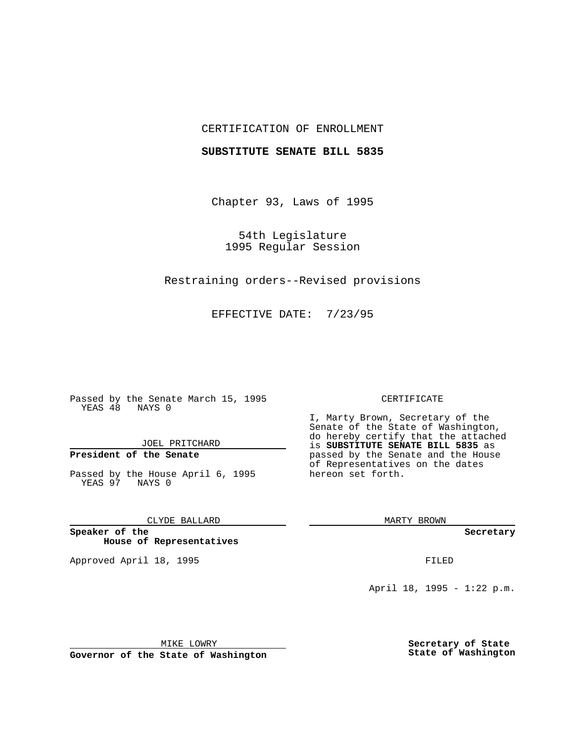## CERTIFICATION OF ENROLLMENT

### **SUBSTITUTE SENATE BILL 5835**

Chapter 93, Laws of 1995

54th Legislature 1995 Regular Session

Restraining orders--Revised provisions

EFFECTIVE DATE: 7/23/95

Passed by the Senate March 15, 1995 YEAS 48 NAYS 0

JOEL PRITCHARD

# **President of the Senate**

Passed by the House April 6, 1995 YEAS 97 NAYS 0

CLYDE BALLARD

**Speaker of the House of Representatives**

Approved April 18, 1995 FILED

#### CERTIFICATE

I, Marty Brown, Secretary of the Senate of the State of Washington, do hereby certify that the attached is **SUBSTITUTE SENATE BILL 5835** as passed by the Senate and the House of Representatives on the dates hereon set forth.

MARTY BROWN

**Secretary**

April 18, 1995 - 1:22 p.m.

MIKE LOWRY

**Governor of the State of Washington**

**Secretary of State State of Washington**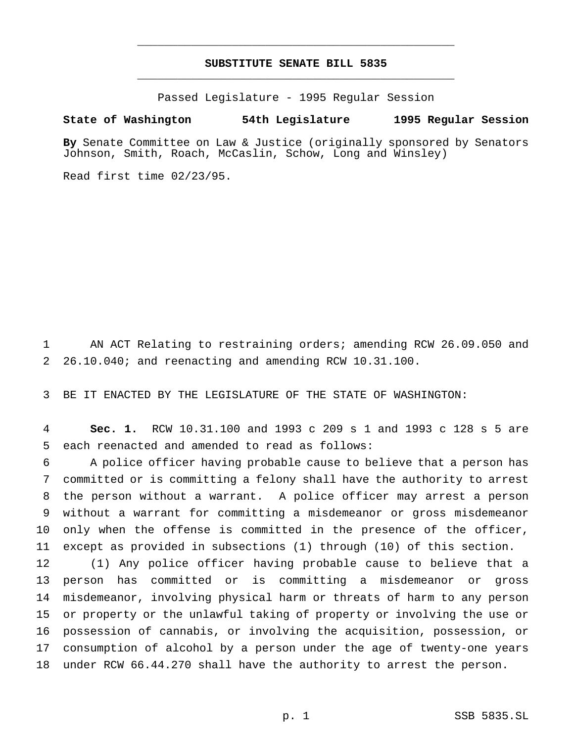# **SUBSTITUTE SENATE BILL 5835** \_\_\_\_\_\_\_\_\_\_\_\_\_\_\_\_\_\_\_\_\_\_\_\_\_\_\_\_\_\_\_\_\_\_\_\_\_\_\_\_\_\_\_\_\_\_\_

\_\_\_\_\_\_\_\_\_\_\_\_\_\_\_\_\_\_\_\_\_\_\_\_\_\_\_\_\_\_\_\_\_\_\_\_\_\_\_\_\_\_\_\_\_\_\_

Passed Legislature - 1995 Regular Session

#### **State of Washington 54th Legislature 1995 Regular Session**

**By** Senate Committee on Law & Justice (originally sponsored by Senators Johnson, Smith, Roach, McCaslin, Schow, Long and Winsley)

Read first time 02/23/95.

 AN ACT Relating to restraining orders; amending RCW 26.09.050 and 26.10.040; and reenacting and amending RCW 10.31.100.

BE IT ENACTED BY THE LEGISLATURE OF THE STATE OF WASHINGTON:

 **Sec. 1.** RCW 10.31.100 and 1993 c 209 s 1 and 1993 c 128 s 5 are each reenacted and amended to read as follows:

 A police officer having probable cause to believe that a person has committed or is committing a felony shall have the authority to arrest the person without a warrant. A police officer may arrest a person without a warrant for committing a misdemeanor or gross misdemeanor only when the offense is committed in the presence of the officer, except as provided in subsections (1) through (10) of this section.

 (1) Any police officer having probable cause to believe that a person has committed or is committing a misdemeanor or gross misdemeanor, involving physical harm or threats of harm to any person or property or the unlawful taking of property or involving the use or possession of cannabis, or involving the acquisition, possession, or consumption of alcohol by a person under the age of twenty-one years under RCW 66.44.270 shall have the authority to arrest the person.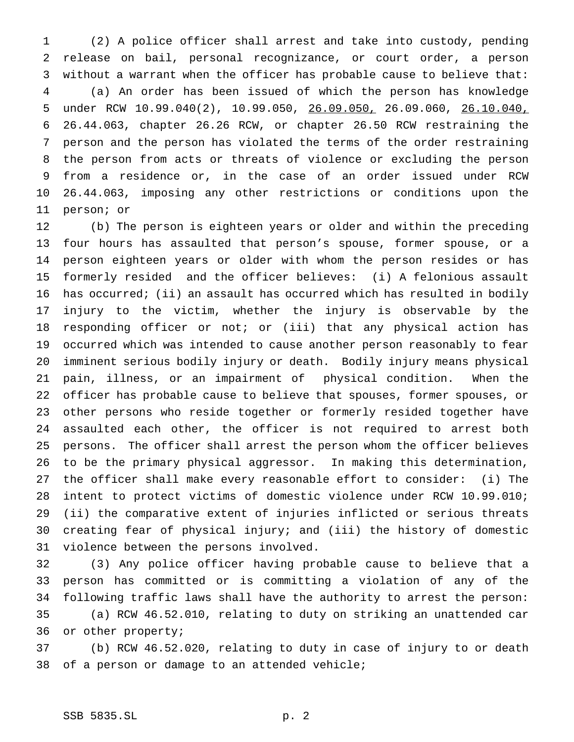(2) A police officer shall arrest and take into custody, pending release on bail, personal recognizance, or court order, a person without a warrant when the officer has probable cause to believe that: (a) An order has been issued of which the person has knowledge under RCW 10.99.040(2), 10.99.050, 26.09.050, 26.09.060, 26.10.040, 26.44.063, chapter 26.26 RCW, or chapter 26.50 RCW restraining the person and the person has violated the terms of the order restraining the person from acts or threats of violence or excluding the person from a residence or, in the case of an order issued under RCW 26.44.063, imposing any other restrictions or conditions upon the person; or

 (b) The person is eighteen years or older and within the preceding four hours has assaulted that person's spouse, former spouse, or a person eighteen years or older with whom the person resides or has formerly resided and the officer believes: (i) A felonious assault has occurred; (ii) an assault has occurred which has resulted in bodily injury to the victim, whether the injury is observable by the responding officer or not; or (iii) that any physical action has occurred which was intended to cause another person reasonably to fear imminent serious bodily injury or death. Bodily injury means physical pain, illness, or an impairment of physical condition. When the officer has probable cause to believe that spouses, former spouses, or other persons who reside together or formerly resided together have assaulted each other, the officer is not required to arrest both persons. The officer shall arrest the person whom the officer believes to be the primary physical aggressor. In making this determination, the officer shall make every reasonable effort to consider: (i) The intent to protect victims of domestic violence under RCW 10.99.010; (ii) the comparative extent of injuries inflicted or serious threats creating fear of physical injury; and (iii) the history of domestic violence between the persons involved.

 (3) Any police officer having probable cause to believe that a person has committed or is committing a violation of any of the following traffic laws shall have the authority to arrest the person: (a) RCW 46.52.010, relating to duty on striking an unattended car or other property;

 (b) RCW 46.52.020, relating to duty in case of injury to or death of a person or damage to an attended vehicle;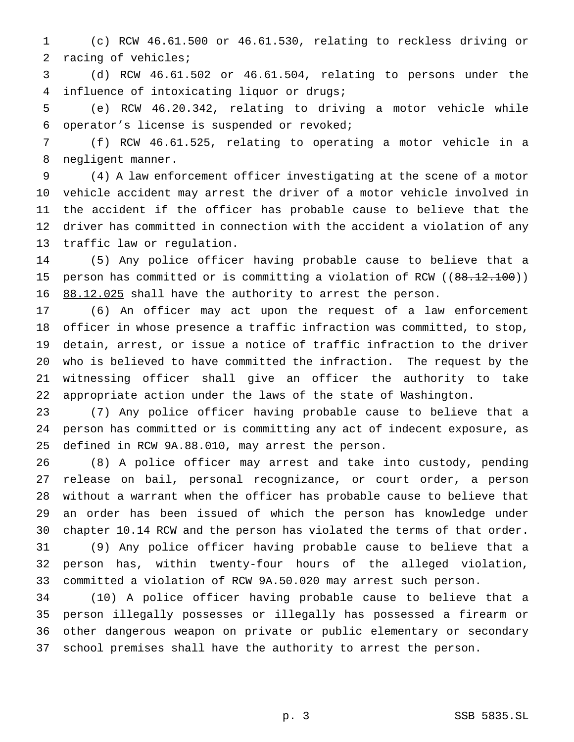(c) RCW 46.61.500 or 46.61.530, relating to reckless driving or racing of vehicles;

 (d) RCW 46.61.502 or 46.61.504, relating to persons under the influence of intoxicating liquor or drugs;

 (e) RCW 46.20.342, relating to driving a motor vehicle while operator's license is suspended or revoked;

 (f) RCW 46.61.525, relating to operating a motor vehicle in a negligent manner.

 (4) A law enforcement officer investigating at the scene of a motor vehicle accident may arrest the driver of a motor vehicle involved in the accident if the officer has probable cause to believe that the driver has committed in connection with the accident a violation of any traffic law or regulation.

 (5) Any police officer having probable cause to believe that a 15 person has committed or is committing a violation of RCW ((88.12.100)) 88.12.025 shall have the authority to arrest the person.

 (6) An officer may act upon the request of a law enforcement officer in whose presence a traffic infraction was committed, to stop, detain, arrest, or issue a notice of traffic infraction to the driver who is believed to have committed the infraction. The request by the witnessing officer shall give an officer the authority to take appropriate action under the laws of the state of Washington.

 (7) Any police officer having probable cause to believe that a person has committed or is committing any act of indecent exposure, as defined in RCW 9A.88.010, may arrest the person.

 (8) A police officer may arrest and take into custody, pending release on bail, personal recognizance, or court order, a person without a warrant when the officer has probable cause to believe that an order has been issued of which the person has knowledge under chapter 10.14 RCW and the person has violated the terms of that order. (9) Any police officer having probable cause to believe that a person has, within twenty-four hours of the alleged violation, committed a violation of RCW 9A.50.020 may arrest such person.

 (10) A police officer having probable cause to believe that a person illegally possesses or illegally has possessed a firearm or other dangerous weapon on private or public elementary or secondary school premises shall have the authority to arrest the person.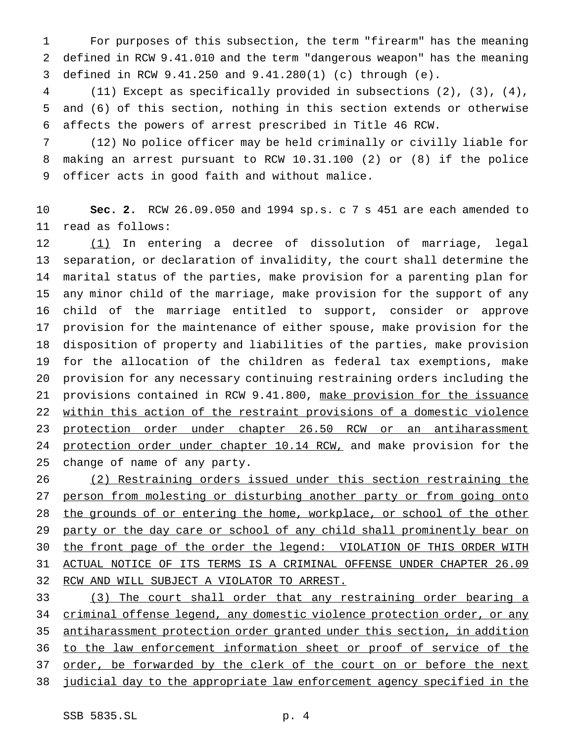For purposes of this subsection, the term "firearm" has the meaning defined in RCW 9.41.010 and the term "dangerous weapon" has the meaning defined in RCW 9.41.250 and 9.41.280(1) (c) through (e).

 (11) Except as specifically provided in subsections (2), (3), (4), and (6) of this section, nothing in this section extends or otherwise affects the powers of arrest prescribed in Title 46 RCW.

 (12) No police officer may be held criminally or civilly liable for making an arrest pursuant to RCW 10.31.100 (2) or (8) if the police officer acts in good faith and without malice.

 **Sec. 2.** RCW 26.09.050 and 1994 sp.s. c 7 s 451 are each amended to read as follows:

 (1) In entering a decree of dissolution of marriage, legal separation, or declaration of invalidity, the court shall determine the marital status of the parties, make provision for a parenting plan for any minor child of the marriage, make provision for the support of any child of the marriage entitled to support, consider or approve provision for the maintenance of either spouse, make provision for the disposition of property and liabilities of the parties, make provision for the allocation of the children as federal tax exemptions, make provision for any necessary continuing restraining orders including the provisions contained in RCW 9.41.800, make provision for the issuance within this action of the restraint provisions of a domestic violence 23 protection order under chapter 26.50 RCW or an antiharassment 24 protection order under chapter 10.14 RCW, and make provision for the change of name of any party.

 (2) Restraining orders issued under this section restraining the 27 person from molesting or disturbing another party or from going onto 28 the grounds of or entering the home, workplace, or school of the other 29 party or the day care or school of any child shall prominently bear on 30 the front page of the order the legend: VIOLATION OF THIS ORDER WITH ACTUAL NOTICE OF ITS TERMS IS A CRIMINAL OFFENSE UNDER CHAPTER 26.09 RCW AND WILL SUBJECT A VIOLATOR TO ARREST.

 (3) The court shall order that any restraining order bearing a criminal offense legend, any domestic violence protection order, or any antiharassment protection order granted under this section, in addition to the law enforcement information sheet or proof of service of the order, be forwarded by the clerk of the court on or before the next judicial day to the appropriate law enforcement agency specified in the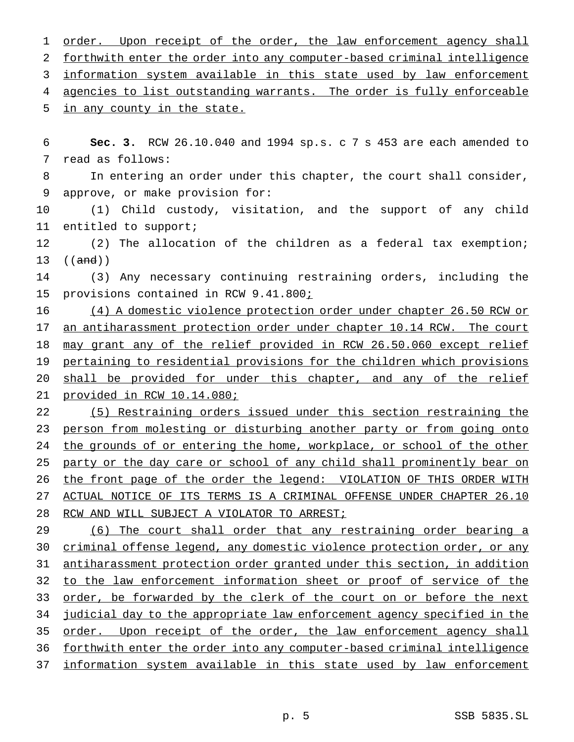1 order. Upon receipt of the order, the law enforcement agency shall forthwith enter the order into any computer-based criminal intelligence 3 information system available in this state used by law enforcement 4 agencies to list outstanding warrants. The order is fully enforceable in any county in the state. **Sec. 3.** RCW 26.10.040 and 1994 sp.s. c 7 s 453 are each amended to read as follows: In entering an order under this chapter, the court shall consider, approve, or make provision for: (1) Child custody, visitation, and the support of any child entitled to support; (2) The allocation of the children as a federal tax exemption; ((and)) (3) Any necessary continuing restraining orders, including the 15 provisions contained in RCW 9.41.800; (4) A domestic violence protection order under chapter 26.50 RCW or an antiharassment protection order under chapter 10.14 RCW. The court 18 may grant any of the relief provided in RCW 26.50.060 except relief pertaining to residential provisions for the children which provisions shall be provided for under this chapter, and any of the relief provided in RCW 10.14.080; (5) Restraining orders issued under this section restraining the person from molesting or disturbing another party or from going onto 24 the grounds of or entering the home, workplace, or school of the other 25 party or the day care or school of any child shall prominently bear on 26 the front page of the order the legend: VIOLATION OF THIS ORDER WITH ACTUAL NOTICE OF ITS TERMS IS A CRIMINAL OFFENSE UNDER CHAPTER 26.10 RCW AND WILL SUBJECT A VIOLATOR TO ARREST; (6) The court shall order that any restraining order bearing a criminal offense legend, any domestic violence protection order, or any antiharassment protection order granted under this section, in addition to the law enforcement information sheet or proof of service of the 33 order, be forwarded by the clerk of the court on or before the next judicial day to the appropriate law enforcement agency specified in the 35 order. Upon receipt of the order, the law enforcement agency shall forthwith enter the order into any computer-based criminal intelligence information system available in this state used by law enforcement p. 5 SSB 5835.SL